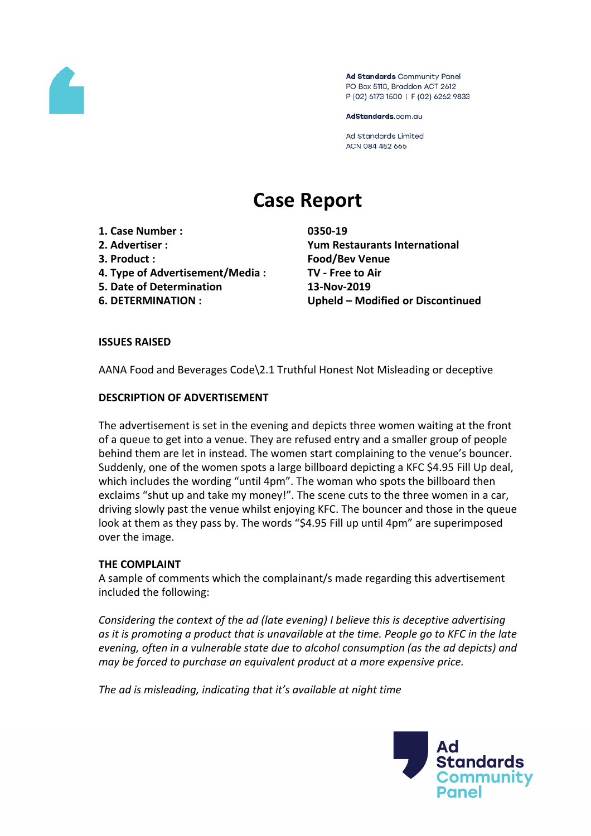

Ad Standards Community Panel PO Box 5110, Braddon ACT 2612 P (02) 6173 1500 | F (02) 6262 9833

AdStandards.com.au

**Ad Standards Limited** ACN 084 452 666

# **Case Report**

- **1. Case Number : 0350-19**
- 
- 
- **4. Type of Advertisement/Media : TV - Free to Air**
- **5. Date of Determination 13-Nov-2019**
- 

**2. Advertiser : Yum Restaurants International 3. Product : Food/Bev Venue 6. DETERMINATION : Upheld – Modified or Discontinued**

# **ISSUES RAISED**

AANA Food and Beverages Code\2.1 Truthful Honest Not Misleading or deceptive

# **DESCRIPTION OF ADVERTISEMENT**

The advertisement is set in the evening and depicts three women waiting at the front of a queue to get into a venue. They are refused entry and a smaller group of people behind them are let in instead. The women start complaining to the venue's bouncer. Suddenly, one of the women spots a large billboard depicting a KFC \$4.95 Fill Up deal, which includes the wording "until 4pm". The woman who spots the billboard then exclaims "shut up and take my money!". The scene cuts to the three women in a car, driving slowly past the venue whilst enjoying KFC. The bouncer and those in the queue look at them as they pass by. The words "\$4.95 Fill up until 4pm" are superimposed over the image.

## **THE COMPLAINT**

A sample of comments which the complainant/s made regarding this advertisement included the following:

*Considering the context of the ad (late evening) I believe this is deceptive advertising as it is promoting a product that is unavailable at the time. People go to KFC in the late evening, often in a vulnerable state due to alcohol consumption (as the ad depicts) and may be forced to purchase an equivalent product at a more expensive price.*

*The ad is misleading, indicating that it's available at night time*

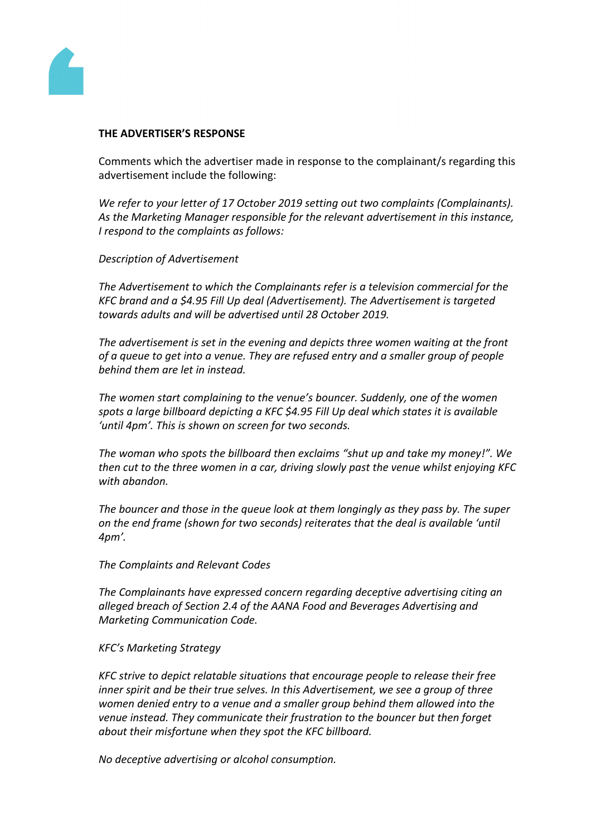

#### **THE ADVERTISER'S RESPONSE**

Comments which the advertiser made in response to the complainant/s regarding this advertisement include the following:

*We refer to your letter of 17 October 2019 setting out two complaints (Complainants). As the Marketing Manager responsible for the relevant advertisement in this instance, I respond to the complaints as follows:*

*Description of Advertisement*

*The Advertisement to which the Complainants refer is a television commercial for the KFC brand and a \$4.95 Fill Up deal (Advertisement). The Advertisement is targeted towards adults and will be advertised until 28 October 2019.*

*The advertisement is set in the evening and depicts three women waiting at the front of a queue to get into a venue. They are refused entry and a smaller group of people behind them are let in instead.*

*The women start complaining to the venue's bouncer. Suddenly, one of the women spots a large billboard depicting a KFC \$4.95 Fill Up deal which states it is available 'until 4pm'. This is shown on screen for two seconds.*

*The woman who spots the billboard then exclaims "shut up and take my money!". We then cut to the three women in a car, driving slowly past the venue whilst enjoying KFC with abandon.*

*The bouncer and those in the queue look at them longingly as they pass by. The super on the end frame (shown for two seconds) reiterates that the deal is available 'until 4pm'.*

*The Complaints and Relevant Codes*

*The Complainants have expressed concern regarding deceptive advertising citing an alleged breach of Section 2.4 of the AANA Food and Beverages Advertising and Marketing Communication Code.*

## *KFC's Marketing Strategy*

*KFC strive to depict relatable situations that encourage people to release their free inner spirit and be their true selves. In this Advertisement, we see a group of three women denied entry to a venue and a smaller group behind them allowed into the venue instead. They communicate their frustration to the bouncer but then forget about their misfortune when they spot the KFC billboard.*

*No deceptive advertising or alcohol consumption.*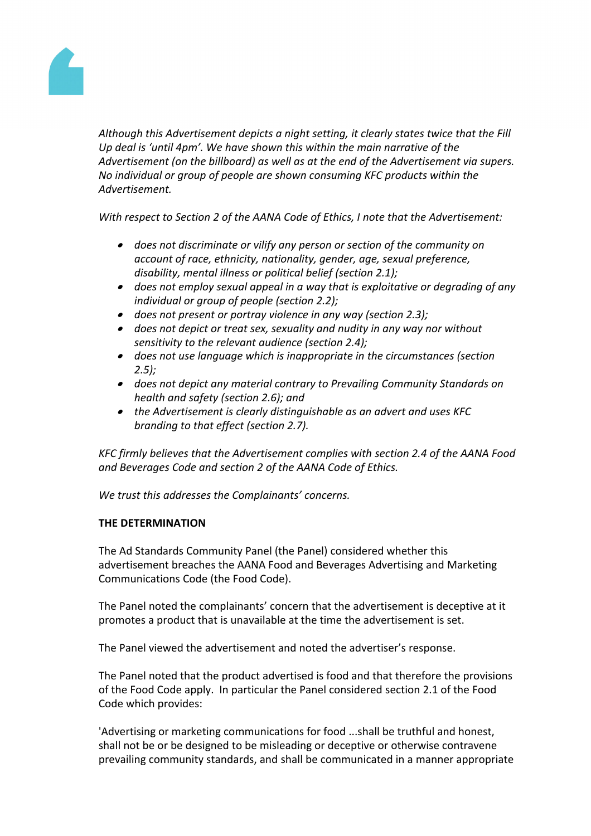

*Although this Advertisement depicts a night setting, it clearly states twice that the Fill Up deal is 'until 4pm'. We have shown this within the main narrative of the Advertisement (on the billboard) as well as at the end of the Advertisement via supers. No individual or group of people are shown consuming KFC products within the Advertisement.*

*With respect to Section 2 of the AANA Code of Ethics, I note that the Advertisement:*

- *does not discriminate or vilify any person or section of the community on account of race, ethnicity, nationality, gender, age, sexual preference, disability, mental illness or political belief (section 2.1);*
- *does not employ sexual appeal in a way that is exploitative or degrading of any individual or group of people (section 2.2);*
- *does not present or portray violence in any way (section 2.3);*
- *does not depict or treat sex, sexuality and nudity in any way nor without sensitivity to the relevant audience (section 2.4);*
- *does not use language which is inappropriate in the circumstances (section 2.5);*
- *does not depict any material contrary to Prevailing Community Standards on health and safety (section 2.6); and*
- *the Advertisement is clearly distinguishable as an advert and uses KFC branding to that effect (section 2.7).*

*KFC firmly believes that the Advertisement complies with section 2.4 of the AANA Food and Beverages Code and section 2 of the AANA Code of Ethics.*

*We trust this addresses the Complainants' concerns.*

## **THE DETERMINATION**

The Ad Standards Community Panel (the Panel) considered whether this advertisement breaches the AANA Food and Beverages Advertising and Marketing Communications Code (the Food Code).

The Panel noted the complainants' concern that the advertisement is deceptive at it promotes a product that is unavailable at the time the advertisement is set.

The Panel viewed the advertisement and noted the advertiser's response.

The Panel noted that the product advertised is food and that therefore the provisions of the Food Code apply. In particular the Panel considered section 2.1 of the Food Code which provides:

'Advertising or marketing communications for food ...shall be truthful and honest, shall not be or be designed to be misleading or deceptive or otherwise contravene prevailing community standards, and shall be communicated in a manner appropriate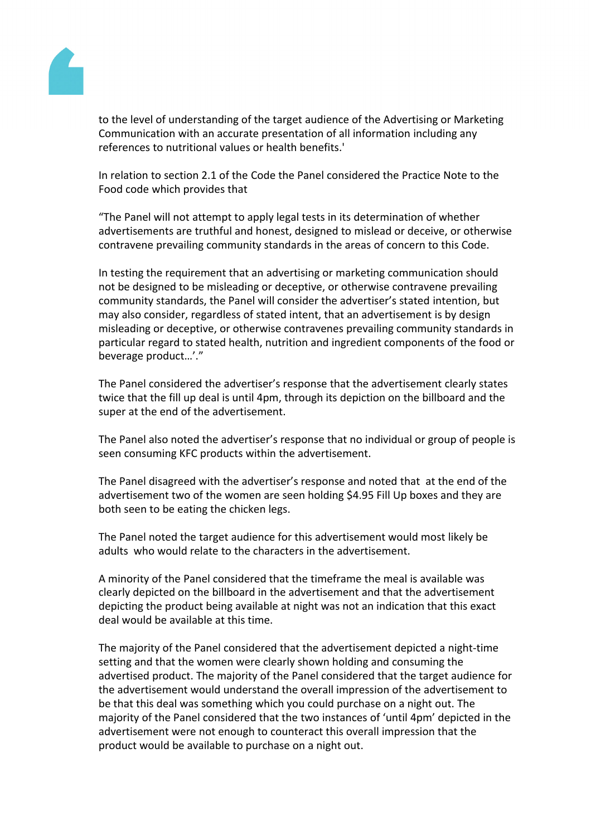

to the level of understanding of the target audience of the Advertising or Marketing Communication with an accurate presentation of all information including any references to nutritional values or health benefits.'

In relation to section 2.1 of the Code the Panel considered the Practice Note to the Food code which provides that

"The Panel will not attempt to apply legal tests in its determination of whether advertisements are truthful and honest, designed to mislead or deceive, or otherwise contravene prevailing community standards in the areas of concern to this Code.

In testing the requirement that an advertising or marketing communication should not be designed to be misleading or deceptive, or otherwise contravene prevailing community standards, the Panel will consider the advertiser's stated intention, but may also consider, regardless of stated intent, that an advertisement is by design misleading or deceptive, or otherwise contravenes prevailing community standards in particular regard to stated health, nutrition and ingredient components of the food or beverage product…'."

The Panel considered the advertiser's response that the advertisement clearly states twice that the fill up deal is until 4pm, through its depiction on the billboard and the super at the end of the advertisement.

The Panel also noted the advertiser's response that no individual or group of people is seen consuming KFC products within the advertisement.

The Panel disagreed with the advertiser's response and noted that at the end of the advertisement two of the women are seen holding \$4.95 Fill Up boxes and they are both seen to be eating the chicken legs.

The Panel noted the target audience for this advertisement would most likely be adults who would relate to the characters in the advertisement.

A minority of the Panel considered that the timeframe the meal is available was clearly depicted on the billboard in the advertisement and that the advertisement depicting the product being available at night was not an indication that this exact deal would be available at this time.

The majority of the Panel considered that the advertisement depicted a night-time setting and that the women were clearly shown holding and consuming the advertised product. The majority of the Panel considered that the target audience for the advertisement would understand the overall impression of the advertisement to be that this deal was something which you could purchase on a night out. The majority of the Panel considered that the two instances of 'until 4pm' depicted in the advertisement were not enough to counteract this overall impression that the product would be available to purchase on a night out.